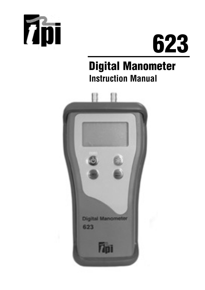



# Digital Manometer **Instruction Manual**

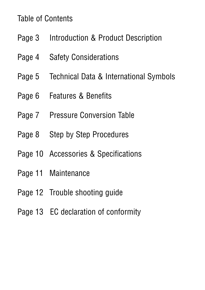#### Table of Contents

- Page 3 Introduction & Product Description
- Page 4 Safety Considerations
- Page 5 Technical Data & International Symbols
- Page 6 Features & Benefits
- Page 7 Pressure Conversion Table
- Page 8 Step by Step Procedures
- Page 10 Accessories & Specifications
- Page 11 Maintenance
- Page 12 Trouble shooting guide
- Page 13 EC declaration of conformity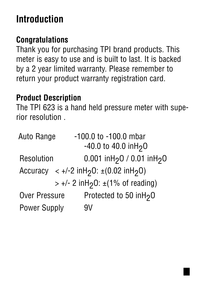## **Introduction**

### **Congratulations**

Thank you for purchasing TPI brand products. This meter is easy to use and is built to last. It is backed by a 2 year limited warranty. Please remember to return your product warranty registration card.

### **Product Description**

The TPI 623 is a hand held pressure meter with superior resolution .

| Auto Range           | -100.0 to -100.0 mbar                                                        |
|----------------------|------------------------------------------------------------------------------|
|                      | $-40.0$ to 40.0 inH <sub>2</sub> O                                           |
| <b>Resolution</b>    | 0.001 inH <sub>2</sub> 0 / 0.01 inH <sub>2</sub> 0                           |
|                      | Accuracy $\langle +/2 \text{ infl}_2 0: \pm (0.02 \text{ infl}_2 0) \rangle$ |
|                      | $> +/- 2$ in H <sub>2</sub> O: $\pm$ (1% of reading)                         |
| <b>Over Pressure</b> | Protected to 50 inH <sub>2</sub> 0                                           |
| <b>Power Supply</b>  | 9V                                                                           |
|                      |                                                                              |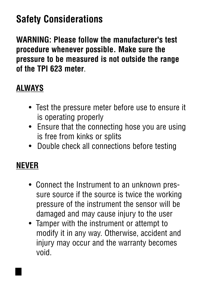# **Safety Considerations**

**WARNING: Please follow the manufacturer's test procedure whenever possible. Make sure the pressure to be measured is not outside the range of the TPI 623 meter**.

### **ALWAYS**

- Test the pressure meter before use to ensure it is operating properly
- Ensure that the connecting hose you are using is free from kinks or splits
- Double check all connections before testing

### **NEVER**

- Connect the Instrument to an unknown pressure source if the source is twice the working pressure of the instrument the sensor will be damaged and may cause injury to the user
- Tamper with the instrument or attempt to modify it in any way. Otherwise, accident and injury may occur and the warranty becomes void.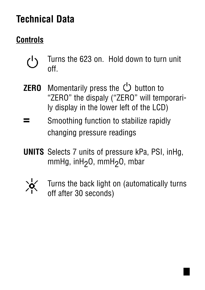# **Technical Data**

### **Controls**

- Turns the 623 on. Hold down to turn unit <u>(</u>) off.
- **ZERO** Momentarily press the  $\bigcup$  button to "ZERO" the dispaly ("ZERO" will temporarily display in the lower left of the LCD)
- **=** Smoothing function to stabilize rapidly changing pressure readings
- **UNITS** Selects 7 units of pressure kPa, PSI, inHg, mmHg, inH<sub>2</sub>O, mmH<sub>2</sub>O, mbar



Turns the back light on (automatically turns off after 30 seconds)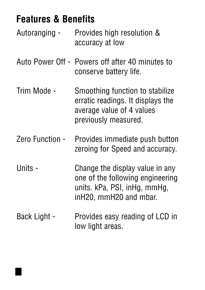### **Features & Benefits**

- Autoranging Provides high resolution & accuracy at low
- Auto Power Off Powers off after 40 minutes to conserve battery life.
- Trim Mode Smoothing function to stabilize erratic readings. It displays the average value of 4 values previously measured.
- Zero Function Provides immediate push button zeroing for Speed and accuracy.
- Units Change the display value in any one of the following engineering units. kPa, PSI, inHg, mmHg, inH20, mmH20 and mbar.
- Back Light Provides easy reading of LCD in low light areas.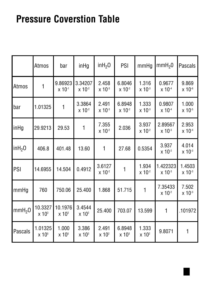## **Pressure Coverstion Table**

|                     | <b>Atmos</b>                        | bar                                 | $in$ Hg                            | inh <sub>2</sub> O                | <b>PSI</b>                         | mmHg                              | mmH <sub>2</sub> 0      | <b>Pascals</b>        |
|---------------------|-------------------------------------|-------------------------------------|------------------------------------|-----------------------------------|------------------------------------|-----------------------------------|-------------------------|-----------------------|
| Atmos               | 1                                   | 9.86923<br>$x 10^{-1}$              | 3.34207<br>$x 10^{-2}$             | 2.458<br>$x 10^{-3}$              | 6.8046<br>$x 10^{-2}$              | 1.316<br>$x 10^{-3}$              | 0.9677<br>$x 10^{-4}$   | 9.869<br>$x 10^{-6}$  |
| bar                 | 1.01325                             | 1                                   | 3.3864<br>$x 10^{-2}$              | 2.491<br>$x 10^{-3}$              | 6.8948<br>$x 10^{-2}$              | 1.333<br>$x 10^{-3}$              | 0.9807<br>$x 10^{-4}$   | 1.000<br>$x 10^{-5}$  |
| inHg                | 29.9213                             | 29.53                               |                                    | 7.355<br>$x 10^{-2}$              | 2.036                              | 3.937<br>$x 10^{-2}$              | 2.89567<br>$x 10^{-3}$  | 2.953<br>$x 10^{-4}$  |
| in H <sub>2</sub> O | 406.8                               | 401.48                              | 13.60                              | 1                                 | 27.68                              | 0.5354                            | 3.937<br>$x 10^{-2}$    | 4.014<br>$x 10^{-3}$  |
| <b>PSI</b>          | 14.6955                             | 14.504                              | 0.4912                             | 3.6127<br>$x 10^{-2}$             |                                    | 1.934<br>$x 10^{-2}$              | 1.422323<br>$x 10^{-3}$ | 1.4503<br>$x 10^{-3}$ |
| mmHg                | 760                                 | 750.06                              | 25.400                             | 1.868                             | 51.715                             |                                   | 7.35433<br>$x 10^{-2}$  | 7.502<br>$x 10^{-3}$  |
| mmH <sub>2</sub> O  | 10.3327<br>$\times$ 10 <sup>3</sup> | 10.1976<br>$\times$ 10 <sup>3</sup> | 3.4544<br>$\times$ 10 <sup>2</sup> | 25.400                            | 703.07                             | 13.599                            | 1                       | .101972               |
| Pascals             | 1.01325<br>$\times 10^{5}$          | 1.000<br>$\times 10^{5}$            | 3.386<br>$\times$ 10 <sup>3</sup>  | 2.491<br>$\times$ 10 <sup>2</sup> | 6.8948<br>$\times$ 10 <sup>3</sup> | 1.333<br>$\times$ 10 <sup>2</sup> | 9.8071                  | 1                     |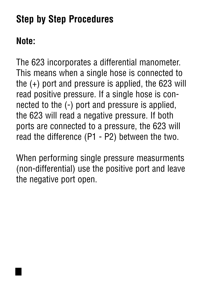# **Step by Step Procedures**

### **Note:**

The 623 incorporates a differential manometer. This means when a single hose is connected to the (+) port and pressure is applied, the 623 will read positive pressure. If a single hose is connected to the (-) port and pressure is applied, the 623 will read a negative pressure. If both ports are connected to a pressure, the 623 will read the difference (P1 - P2) between the two.

When performing single pressure measurments (non-differential) use the positive port and leave the negative port open.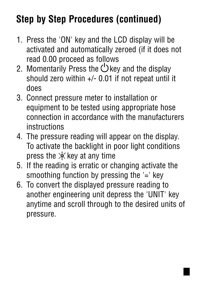# **Step by Step Procedures (continued)**

- 1. Press the 'ON' key and the LCD display will be activated and automatically zeroed (if it does not read 0.00 proceed as follows
- 2. Momentarily Press the  $\bigcup$  key and the display should zero within +/- 0.01 if not repeat until it does
- 3. Connect pressure meter to installation or equipment to be tested using appropriate hose connection in accordance with the manufacturers instructions
- 4. The pressure reading will appear on the display. To activate the backlight in poor light conditions press the  $\frac{1}{2}$  key at any time
- 5. If the reading is erratic or changing activate the smoothing function by pressing the '=' key
- 6. To convert the displayed pressure reading to another engineering unit depress the 'UNIT' key anytime and scroll through to the desired units of pressure.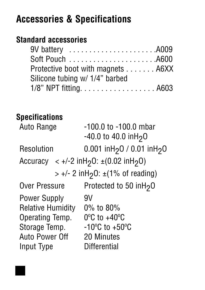### **Accessories & Specifications**

#### **Standard accessories**

| Protective boot with magnets A6XX |  |
|-----------------------------------|--|
| Silicone tubing w/ 1/4" barbed    |  |
| 1/8" NPT fitting A603             |  |

#### **Specifications**

| $-100.0$ to $-100.0$ mbar<br>$-40.0$ to 40.0 inH <sub>2</sub> O         |  |  |
|-------------------------------------------------------------------------|--|--|
| 0.001 inH <sub>2</sub> 0 / 0.01 inH <sub>2</sub> 0                      |  |  |
| Accuracy $\langle +/2 \text{ infl}_2 0$ : $\pm (0.02 \text{ infl}_2 0)$ |  |  |
| $> +/- 2$ in H <sub>2</sub> O: $\pm$ (1% of reading)                    |  |  |
| Protected to 50 inH <sub>2</sub> 0                                      |  |  |
| 9V                                                                      |  |  |
| $0\%$ to $80\%$                                                         |  |  |
| $0^{\circ}$ C to +40 $^{\circ}$ C                                       |  |  |
| $-10^{\circ}$ C to $+50^{\circ}$ C                                      |  |  |
| 20 Minutes                                                              |  |  |
| <b>Differential</b>                                                     |  |  |
|                                                                         |  |  |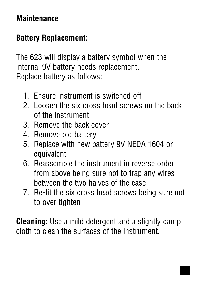### **Maintenance**

### **Battery Replacement:**

The 623 will display a battery symbol when the internal 9V battery needs replacement. Replace battery as follows:

- 1. Ensure instrument is switched off
- 2. Loosen the six cross head screws on the back of the instrument
- 3. Remove the back cover
- 4. Remove old battery
- 5. Replace with new battery 9V NEDA 1604 or equivalent
- 6. Reassemble the instrument in reverse order from above being sure not to trap any wires between the two halves of the case
- 7. Re-fit the six cross head screws being sure not to over tighten

**Cleaning:** Use a mild detergent and a slightly damp cloth to clean the surfaces of the instrument.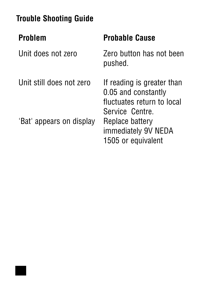| <b>Trouble Shooting Guide</b> |                                                                                                    |  |  |  |  |
|-------------------------------|----------------------------------------------------------------------------------------------------|--|--|--|--|
| <b>Problem</b>                | <b>Probable Cause</b>                                                                              |  |  |  |  |
| Unit does not zero            | Zero button has not been<br>pushed.                                                                |  |  |  |  |
| Unit still does not zero      | If reading is greater than<br>0.05 and constantly<br>fluctuates return to local<br>Service Centre. |  |  |  |  |
| 'Bat' appears on display      | Replace battery<br>immediately 9V NEDA<br>1505 or equivalent                                       |  |  |  |  |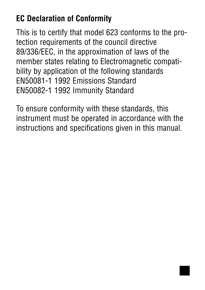### **EC Declaration of Conformity**

This is to certify that model 623 conforms to the protection requirements of the council directive 89/336/EEC, in the approximation of laws of the member states relating to Electromagnetic compatibility by application of the following standards EN50081-1 1992 Emissions Standard EN50082-1 1992 Immunity Standard

To ensure conformity with these standards, this instrument must be operated in accordance with the instructions and specifications given in this manual.